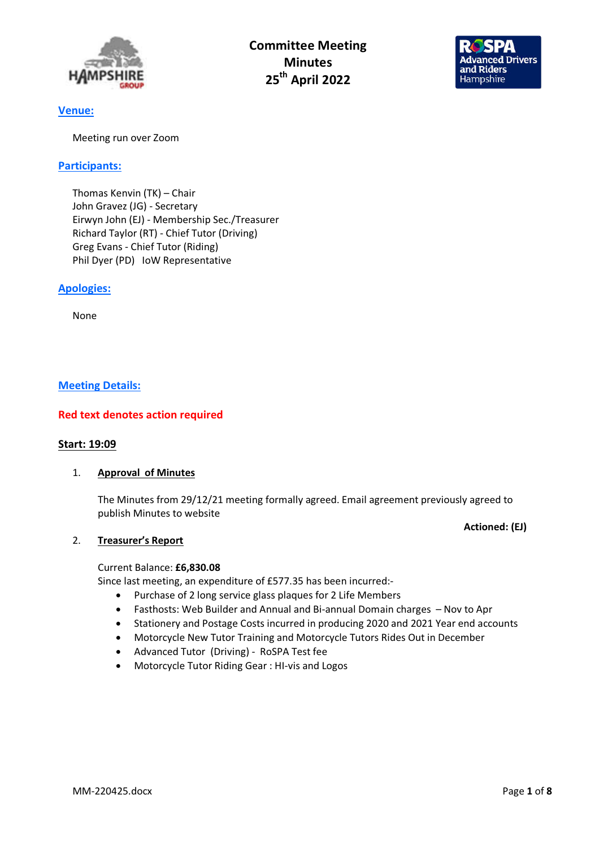

Committee Meeting **Minutes** 25th April 2022



# Venue:

Meeting run over Zoom

# Participants:

Thomas Kenvin (TK) – Chair John Gravez (JG) - Secretary Eirwyn John (EJ) - Membership Sec./Treasurer Richard Taylor (RT) - Chief Tutor (Driving) Greg Evans - Chief Tutor (Riding) Phil Dyer (PD) IoW Representative

# Apologies:

None

# Meeting Details:

# Red text denotes action required

### Start: 19:09

### 1. Approval of Minutes

The Minutes from 29/12/21 meeting formally agreed. Email agreement previously agreed to publish Minutes to website

# Actioned: (EJ)

### 2. Treasurer's Report

### Current Balance: £6,830.08

Since last meeting, an expenditure of £577.35 has been incurred:-

- Purchase of 2 long service glass plaques for 2 Life Members
- Fasthosts: Web Builder and Annual and Bi-annual Domain charges Nov to Apr
- Stationery and Postage Costs incurred in producing 2020 and 2021 Year end accounts
- Motorcycle New Tutor Training and Motorcycle Tutors Rides Out in December
- Advanced Tutor (Driving) RoSPA Test fee
- Motorcycle Tutor Riding Gear : HI-vis and Logos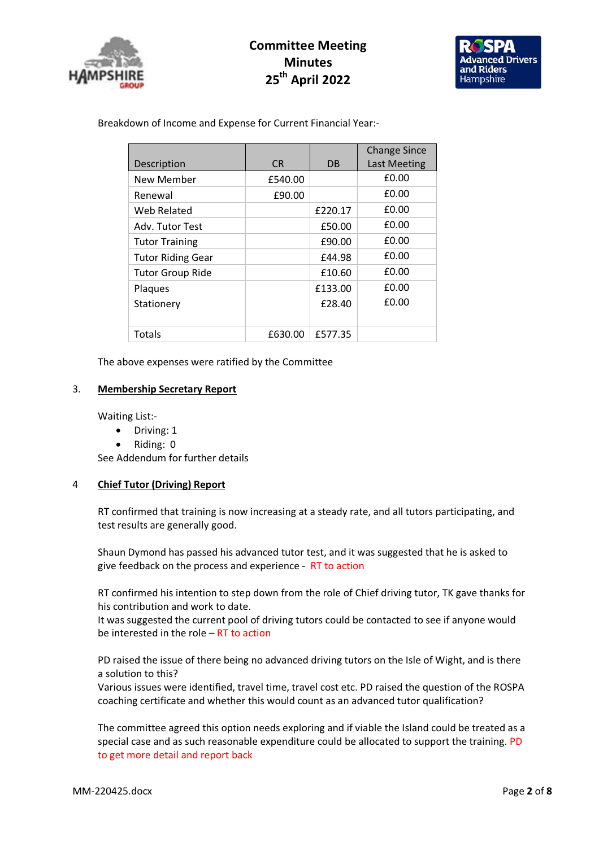

# Committee Meeting **Minutes** 25th April 2022



Breakdown of Income and Expense for Current Financial Year:-

| Description              | C <sub>R</sub> | DB      | <b>Change Since</b><br><b>Last Meeting</b> |
|--------------------------|----------------|---------|--------------------------------------------|
| New Member               | £540.00        |         | £0.00                                      |
| Renewal                  | £90.00         |         | £0.00                                      |
| Web Related              |                | £220.17 | £0.00                                      |
| Adv. Tutor Test          |                | £50.00  | £0.00                                      |
| <b>Tutor Training</b>    |                | £90.00  | £0.00                                      |
| <b>Tutor Riding Gear</b> |                | £44.98  | £0.00                                      |
| <b>Tutor Group Ride</b>  |                | £10.60  | £0.00                                      |
| Plaques                  |                | £133.00 | £0.00                                      |
| Stationery               |                | £28.40  | £0.00                                      |
|                          |                |         |                                            |
| Totals                   | £630.00        | £577.35 |                                            |

The above expenses were ratified by the Committee

### 3. Membership Secretary Report

Waiting List:-

- Driving: 1
- Riding: 0

See Addendum for further details

### 4 Chief Tutor (Driving) Report

RT confirmed that training is now increasing at a steady rate, and all tutors participating, and test results are generally good.

Shaun Dymond has passed his advanced tutor test, and it was suggested that he is asked to give feedback on the process and experience - RT to action

RT confirmed his intention to step down from the role of Chief driving tutor, TK gave thanks for his contribution and work to date.

It was suggested the current pool of driving tutors could be contacted to see if anyone would be interested in the role – RT to action

PD raised the issue of there being no advanced driving tutors on the Isle of Wight, and is there a solution to this?

Various issues were identified, travel time, travel cost etc. PD raised the question of the ROSPA coaching certificate and whether this would count as an advanced tutor qualification?

The committee agreed this option needs exploring and if viable the Island could be treated as a special case and as such reasonable expenditure could be allocated to support the training. PD to get more detail and report back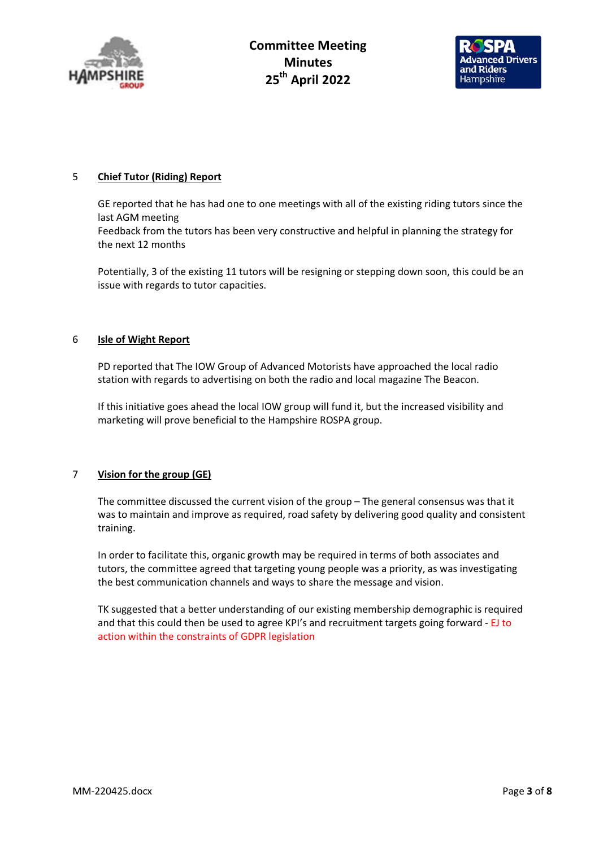



### 5 Chief Tutor (Riding) Report

GE reported that he has had one to one meetings with all of the existing riding tutors since the last AGM meeting Feedback from the tutors has been very constructive and helpful in planning the strategy for the next 12 months

Potentially, 3 of the existing 11 tutors will be resigning or stepping down soon, this could be an issue with regards to tutor capacities.

#### 6 Isle of Wight Report

PD reported that The IOW Group of Advanced Motorists have approached the local radio station with regards to advertising on both the radio and local magazine The Beacon.

If this initiative goes ahead the local IOW group will fund it, but the increased visibility and marketing will prove beneficial to the Hampshire ROSPA group.

### 7 Vision for the group (GE)

The committee discussed the current vision of the group – The general consensus was that it was to maintain and improve as required, road safety by delivering good quality and consistent training.

In order to facilitate this, organic growth may be required in terms of both associates and tutors, the committee agreed that targeting young people was a priority, as was investigating the best communication channels and ways to share the message and vision.

TK suggested that a better understanding of our existing membership demographic is required and that this could then be used to agree KPI's and recruitment targets going forward - EJ to action within the constraints of GDPR legislation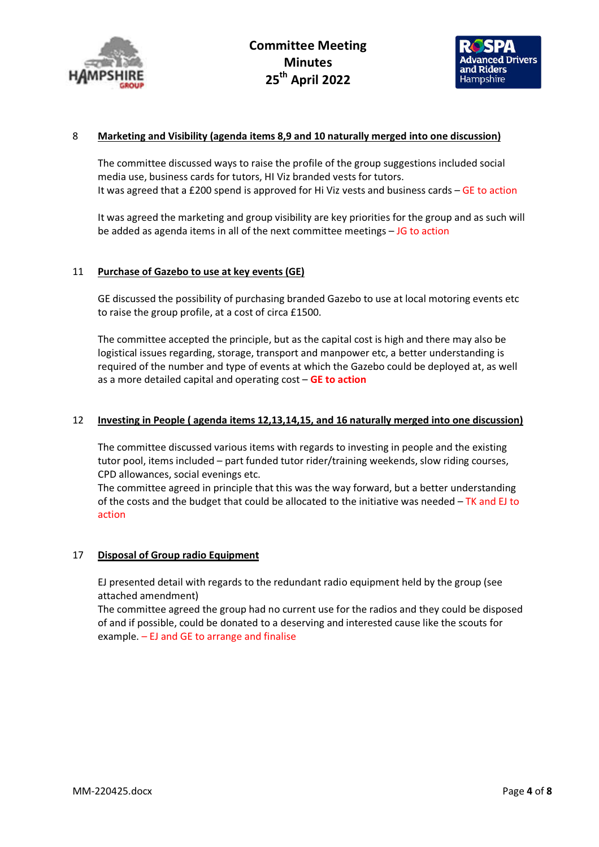



#### 8 Marketing and Visibility (agenda items 8,9 and 10 naturally merged into one discussion)

The committee discussed ways to raise the profile of the group suggestions included social media use, business cards for tutors, HI Viz branded vests for tutors. It was agreed that a £200 spend is approved for Hi Viz vests and business cards – GE to action

It was agreed the marketing and group visibility are key priorities for the group and as such will be added as agenda items in all of the next committee meetings  $-$  JG to action

#### 11 Purchase of Gazebo to use at key events (GE)

GE discussed the possibility of purchasing branded Gazebo to use at local motoring events etc to raise the group profile, at a cost of circa £1500.

The committee accepted the principle, but as the capital cost is high and there may also be logistical issues regarding, storage, transport and manpower etc, a better understanding is required of the number and type of events at which the Gazebo could be deployed at, as well as a more detailed capital and operating cost - GE to action

#### 12 Investing in People ( agenda items 12,13,14,15, and 16 naturally merged into one discussion)

The committee discussed various items with regards to investing in people and the existing tutor pool, items included – part funded tutor rider/training weekends, slow riding courses, CPD allowances, social evenings etc.

The committee agreed in principle that this was the way forward, but a better understanding of the costs and the budget that could be allocated to the initiative was needed  $-TK$  and EJ to action

#### 17 Disposal of Group radio Equipment

EJ presented detail with regards to the redundant radio equipment held by the group (see attached amendment)

The committee agreed the group had no current use for the radios and they could be disposed of and if possible, could be donated to a deserving and interested cause like the scouts for example.  $-$  EJ and GE to arrange and finalise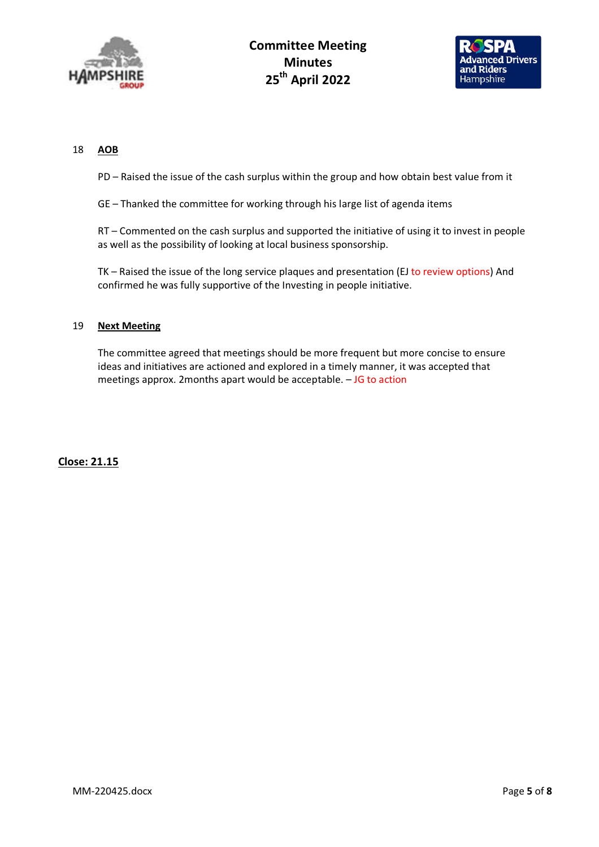

Committee Meeting **Minutes** 25<sup>th</sup> April 2022



#### 18 AOB

PD – Raised the issue of the cash surplus within the group and how obtain best value from it

GE – Thanked the committee for working through his large list of agenda items

RT – Commented on the cash surplus and supported the initiative of using it to invest in people as well as the possibility of looking at local business sponsorship.

TK – Raised the issue of the long service plaques and presentation (EJ to review options) And confirmed he was fully supportive of the Investing in people initiative.

#### 19 Next Meeting

The committee agreed that meetings should be more frequent but more concise to ensure ideas and initiatives are actioned and explored in a timely manner, it was accepted that meetings approx. 2months apart would be acceptable. – JG to action

Close: 21.15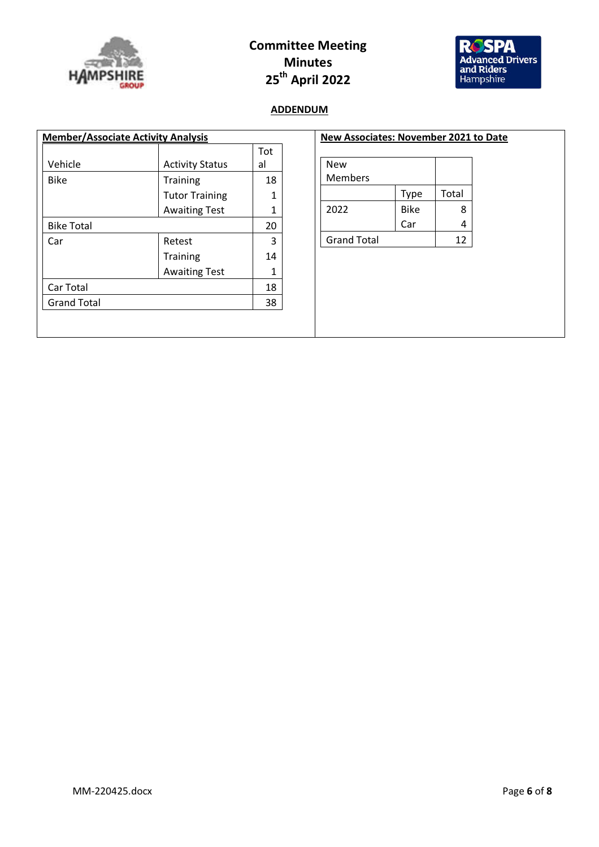

# Committee Meeting Minutes 25th April 2022



# ADDENDUM

|                    |                        | Tot |
|--------------------|------------------------|-----|
| Vehicle            | <b>Activity Status</b> | al  |
| <b>Bike</b>        | Training               | 18  |
|                    | <b>Tutor Training</b>  | 1   |
|                    | <b>Awaiting Test</b>   | 1   |
| <b>Bike Total</b>  |                        | 20  |
| Car                | Retest                 | 3   |
|                    | <b>Training</b>        | 14  |
|                    | <b>Awaiting Test</b>   | 1   |
| Car Total          |                        | 18  |
| <b>Grand Total</b> |                        | 38  |

| New Associates: November 2021 to Date |             |       |  |
|---------------------------------------|-------------|-------|--|
| New                                   |             |       |  |
| Members                               |             |       |  |
|                                       | <b>Type</b> | Total |  |
| 2022                                  | <b>Bike</b> | 8     |  |
|                                       | Car         |       |  |
| <b>Grand Total</b>                    |             | 12    |  |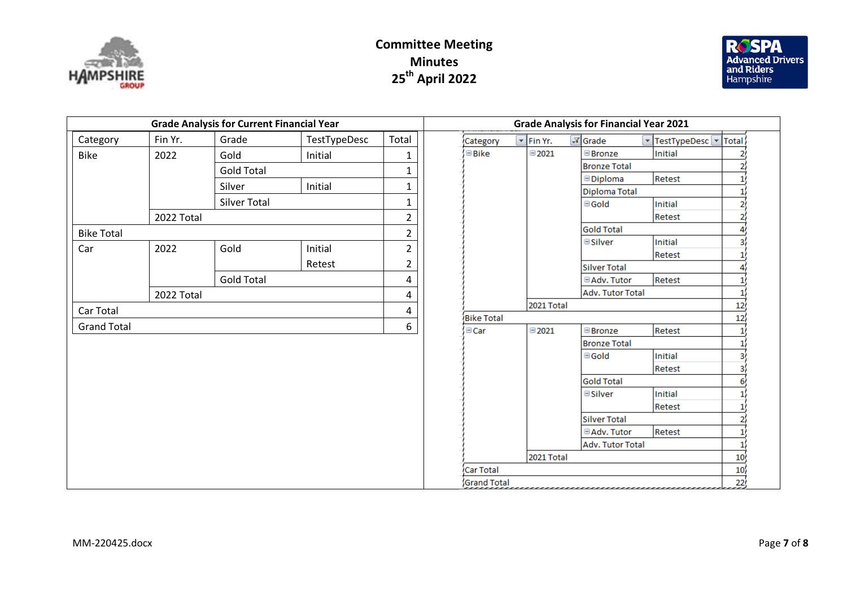

# Committee Meeting Minutes 25<sup>th</sup> April 2022



| <b>Grade Analysis for Current Financial Year</b> |            |                   | <b>Grade Analysis for Financial Year 2021</b> |                |  |                    |                      |                                                |                             |        |
|--------------------------------------------------|------------|-------------------|-----------------------------------------------|----------------|--|--------------------|----------------------|------------------------------------------------|-----------------------------|--------|
| Category                                         | Fin Yr.    | Grade             | TestTypeDesc                                  | Total          |  | Category           | $\mathbf{F}$ Fin Yr. | $\sqrt{x}$ Grade                               | v TestTypeDesc <sup>v</sup> | Total  |
| <b>Bike</b>                                      | 2022       | Gold              | Initial                                       | $\mathbf 1$    |  | $\boxdot$ Bike     | $\boxdot$ 2021       | <b>Bronze</b>                                  | Initial                     |        |
|                                                  |            | <b>Gold Total</b> |                                               | $\mathbf{1}$   |  |                    |                      | <b>Bronze Total</b>                            |                             |        |
|                                                  |            | Silver            | Initial                                       | $\mathbf{1}$   |  |                    |                      | <b><i><u>Diploma</u></i></b>                   | Retest                      |        |
|                                                  |            | Silver Total      |                                               | $\mathbf{1}$   |  |                    |                      | Diploma Total                                  |                             |        |
|                                                  |            |                   |                                               |                |  |                    |                      | <b>⊟Gold</b>                                   | Initial                     |        |
|                                                  | 2022 Total |                   |                                               | $\overline{2}$ |  |                    |                      | <b>Gold Total</b>                              | Retest                      |        |
| <b>Bike Total</b>                                |            |                   |                                               | $\overline{2}$ |  |                    |                      | <b>Silver</b>                                  | Initial                     |        |
| Car                                              | 2022       | Gold              | Initial                                       | $\overline{2}$ |  |                    |                      |                                                | Retest                      |        |
|                                                  |            |                   | Retest                                        | $\overline{2}$ |  |                    |                      | <b>Silver Total</b>                            |                             |        |
|                                                  |            | <b>Gold Total</b> |                                               | 4              |  |                    |                      | <b>□Adv. Tutor</b>                             | Retest                      |        |
|                                                  | 2022 Total |                   |                                               | 4              |  |                    |                      | Adv. Tutor Total                               |                             |        |
| Car Total                                        |            |                   |                                               | 4              |  |                    | 2021 Total           | 12                                             |                             |        |
|                                                  |            |                   |                                               |                |  | <b>Bike Total</b>  |                      |                                                |                             | 12     |
| <b>Grand Total</b>                               |            |                   |                                               | 6              |  | $\boxdot$ Car      | $\boxplus$ 2021      | <b>Bronze</b>                                  | Retest                      |        |
|                                                  |            |                   |                                               |                |  |                    | <b>Bronze Total</b>  |                                                |                             |        |
|                                                  |            |                   |                                               |                |  |                    |                      | $\boxdot$ Gold                                 | Initial                     |        |
|                                                  |            |                   |                                               |                |  |                    |                      |                                                | Retest                      |        |
|                                                  |            |                   |                                               |                |  |                    |                      | <b>Gold Total</b>                              |                             |        |
|                                                  |            |                   |                                               |                |  |                    |                      | <b>E</b> Silver                                | <b>Initial</b>              |        |
|                                                  |            |                   |                                               |                |  |                    |                      |                                                | Retest                      |        |
|                                                  |            |                   |                                               |                |  |                    |                      | Silver Total                                   |                             |        |
|                                                  |            |                   |                                               |                |  |                    |                      | <b>□ Adv. Tutor</b><br><b>Adv. Tutor Total</b> | Retest                      |        |
|                                                  |            |                   |                                               |                |  |                    | 2021 Total           |                                                |                             | 10     |
|                                                  |            |                   |                                               |                |  | Car Total          |                      |                                                |                             | $10\,$ |
|                                                  |            |                   |                                               |                |  | <b>Grand Total</b> |                      |                                                |                             | 22     |